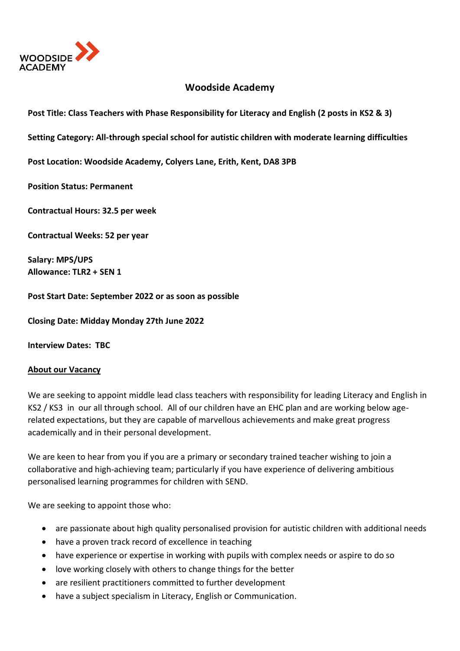

## **Woodside Academy**

**Post Title: Class Teachers with Phase Responsibility for Literacy and English (2 posts in KS2 & 3)**

**Setting Category: All-through special school for autistic children with moderate learning difficulties**

**Post Location: Woodside Academy, Colyers Lane, Erith, Kent, DA8 3PB**

**Position Status: Permanent**

**Contractual Hours: 32.5 per week** 

**Contractual Weeks: 52 per year** 

**Salary: MPS/UPS Allowance: TLR2 + SEN 1**

**Post Start Date: September 2022 or as soon as possible**

**Closing Date: Midday Monday 27th June 2022**

**Interview Dates: TBC**

## **About our Vacancy**

We are seeking to appoint middle lead class teachers with responsibility for leading Literacy and English in KS2 / KS3 in our all through school. All of our children have an EHC plan and are working below agerelated expectations, but they are capable of marvellous achievements and make great progress academically and in their personal development.

We are keen to hear from you if you are a primary or secondary trained teacher wishing to join a collaborative and high-achieving team; particularly if you have experience of delivering ambitious personalised learning programmes for children with SEND.

We are seeking to appoint those who:

- are passionate about high quality personalised provision for autistic children with additional needs
- have a proven track record of excellence in teaching
- have experience or expertise in working with pupils with complex needs or aspire to do so
- love working closely with others to change things for the better
- are resilient practitioners committed to further development
- have a subject specialism in Literacy, English or Communication.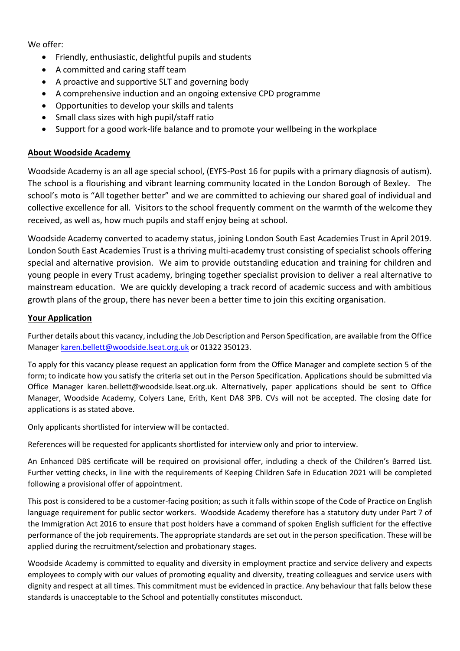We offer:

- Friendly, enthusiastic, delightful pupils and students
- A committed and caring staff team
- A proactive and supportive SLT and governing body
- A comprehensive induction and an ongoing extensive CPD programme
- Opportunities to develop your skills and talents
- Small class sizes with high pupil/staff ratio
- Support for a good work-life balance and to promote your wellbeing in the workplace

## **About Woodside Academy**

Woodside Academy is an all age special school, (EYFS-Post 16 for pupils with a primary diagnosis of autism). The school is a flourishing and vibrant learning community located in the London Borough of Bexley. The school's moto is "All together better" and we are committed to achieving our shared goal of individual and collective excellence for all. Visitors to the school frequently comment on the warmth of the welcome they received, as well as, how much pupils and staff enjoy being at school.

Woodside Academy converted to academy status, joining London South East Academies Trust in April 2019. London South East Academies Trust is a thriving multi-academy trust consisting of specialist schools offering special and alternative provision. We aim to provide outstanding education and training for children and young people in every Trust academy, bringing together specialist provision to deliver a real alternative to mainstream education. We are quickly developing a track record of academic success and with ambitious growth plans of the group, there has never been a better time to join this exciting organisation.

## **Your Application**

Further details about this vacancy, including the Job Description and Person Specification, are available from the Office Manage[r karen.bellett@woodside.lseat.org.uk](mailto:karen.bellett@woodside.lseat.org.uk) or 01322 350123.

To apply for this vacancy please request an application form from the Office Manager and complete section 5 of the form; to indicate how you satisfy the criteria set out in the Person Specification. Applications should be submitted via Office Manager karen.bellett@woodside.lseat.org.uk. Alternatively, paper applications should be sent to Office Manager, Woodside Academy, Colyers Lane, Erith, Kent DA8 3PB. CVs will not be accepted. The closing date for applications is as stated above.

Only applicants shortlisted for interview will be contacted.

References will be requested for applicants shortlisted for interview only and prior to interview.

An Enhanced DBS certificate will be required on provisional offer, including a check of the Children's Barred List. Further vetting checks, in line with the requirements of Keeping Children Safe in Education 2021 will be completed following a provisional offer of appointment.

This post is considered to be a customer-facing position; as such it falls within scope of the Code of Practice on English language requirement for public sector workers. Woodside Academy therefore has a statutory duty under Part 7 of the Immigration Act 2016 to ensure that post holders have a command of spoken English sufficient for the effective performance of the job requirements. The appropriate standards are set out in the person specification. These will be applied during the recruitment/selection and probationary stages.

Woodside Academy is committed to equality and diversity in employment practice and service delivery and expects employees to comply with our values of promoting equality and diversity, treating colleagues and service users with dignity and respect at all times. This commitment must be evidenced in practice. Any behaviour that falls below these standards is unacceptable to the School and potentially constitutes misconduct.